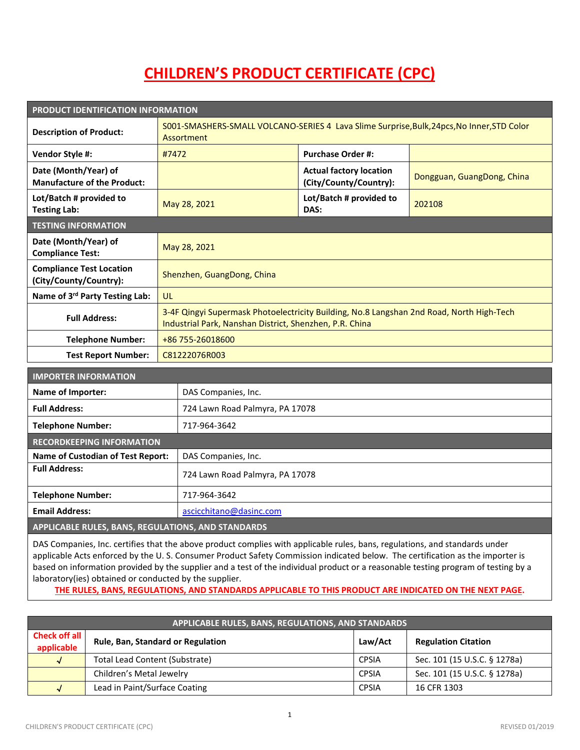## **CHILDREN'S PRODUCT CERTIFICATE (CPC)**

| PRODUCT IDENTIFICATION INFORMATION                         |                                                                                                                                                     |                                                          |                            |  |  |
|------------------------------------------------------------|-----------------------------------------------------------------------------------------------------------------------------------------------------|----------------------------------------------------------|----------------------------|--|--|
| <b>Description of Product:</b>                             | S001-SMASHERS-SMALL VOLCANO-SERIES 4 Lava Slime Surprise, Bulk, 24pcs, No Inner, STD Color<br>Assortment                                            |                                                          |                            |  |  |
| Vendor Style #:                                            | #7472                                                                                                                                               | <b>Purchase Order #:</b>                                 |                            |  |  |
| Date (Month/Year) of<br><b>Manufacture of the Product:</b> |                                                                                                                                                     | <b>Actual factory location</b><br>(City/County/Country): | Dongguan, GuangDong, China |  |  |
| Lot/Batch # provided to<br><b>Testing Lab:</b>             | May 28, 2021                                                                                                                                        | Lot/Batch # provided to<br>DAS:                          | 202108                     |  |  |
| <b>TESTING INFORMATION</b>                                 |                                                                                                                                                     |                                                          |                            |  |  |
| Date (Month/Year) of<br><b>Compliance Test:</b>            | May 28, 2021                                                                                                                                        |                                                          |                            |  |  |
| <b>Compliance Test Location</b><br>(City/County/Country):  | Shenzhen, GuangDong, China                                                                                                                          |                                                          |                            |  |  |
| Name of 3rd Party Testing Lab:                             | <b>UL</b>                                                                                                                                           |                                                          |                            |  |  |
| <b>Full Address:</b>                                       | 3-4F Qingyi Supermask Photoelectricity Building, No.8 Langshan 2nd Road, North High-Tech<br>Industrial Park, Nanshan District, Shenzhen, P.R. China |                                                          |                            |  |  |
| <b>Telephone Number:</b>                                   | +86 755-26018600                                                                                                                                    |                                                          |                            |  |  |
| <b>Test Report Number:</b>                                 | C81222076R003                                                                                                                                       |                                                          |                            |  |  |

| <b>IMPORTER INFORMATION</b>                        |                                 |  |
|----------------------------------------------------|---------------------------------|--|
| Name of Importer:                                  | DAS Companies, Inc.             |  |
| <b>Full Address:</b>                               | 724 Lawn Road Palmyra, PA 17078 |  |
| <b>Telephone Number:</b>                           | 717-964-3642                    |  |
| <b>RECORDKEEPING INFORMATION</b>                   |                                 |  |
| <b>Name of Custodian of Test Report:</b>           | DAS Companies, Inc.             |  |
| <b>Full Address:</b>                               | 724 Lawn Road Palmyra, PA 17078 |  |
| <b>Telephone Number:</b>                           | 717-964-3642                    |  |
| <b>Email Address:</b>                              | ascicchitano@dasinc.com         |  |
| APPLICABLE RULES, BANS, REGULATIONS, AND STANDARDS |                                 |  |

DAS Companies, Inc. certifies that the above product complies with applicable rules, bans, regulations, and standards under applicable Acts enforced by the U. S. Consumer Product Safety Commission indicated below. The certification as the importer is based on information provided by the supplier and a test of the individual product or a reasonable testing program of testing by a laboratory(ies) obtained or conducted by the supplier.

**THE RULES, BANS, REGULATIONS, AND STANDARDS APPLICABLE TO THIS PRODUCT ARE INDICATED ON THE NEXT PAGE.**

| APPLICABLE RULES, BANS, REGULATIONS, AND STANDARDS |                                          |              |                              |  |  |
|----------------------------------------------------|------------------------------------------|--------------|------------------------------|--|--|
| <b>Check off all</b><br>applicable                 | <b>Rule, Ban, Standard or Regulation</b> | Law/Act      | <b>Regulation Citation</b>   |  |  |
| $\sqrt{ }$                                         | <b>Total Lead Content (Substrate)</b>    | <b>CPSIA</b> | Sec. 101 (15 U.S.C. § 1278a) |  |  |
|                                                    | Children's Metal Jewelry                 | <b>CPSIA</b> | Sec. 101 (15 U.S.C. § 1278a) |  |  |
| √                                                  | Lead in Paint/Surface Coating            | <b>CPSIA</b> | 16 CFR 1303                  |  |  |